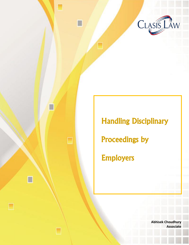

# Handling Disciplinary Proceedings by Employers

□

□

**Abhisek Choudhury Associate**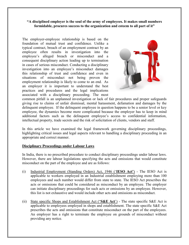# **"A disciplined employer is the soul of the army of employees. It makes small numbers formidable, procures success to the organization and esteem to all part of it"**

The employer-employee relationship is based on the foundation of mutual trust and confidence. Unlike a typical contract, breach of an employment contract by an employee often results in investigation into the employee's alleged breach or misconduct and a consequent disciplinary action leading up to termination in cases of serious misconduct. Conducting a disciplinary investigation into an employee's misconduct damages this relationship of trust and confidence and even in situations of misconduct not being proven the employment relationship is likely to come to an end. As an employer it is important to understand the best practices and procedures and the legal implications associated with a disciplinary proceeding. The most



common pitfall is an unplanned investigation or lack of fair procedures and proper safeguards giving rise to claims of unfair dismissal, mental harassment, defamation and damages by the delinquent employee. If the delinquent employee in question happens to be a senior level or key employee, the dynamics become more complicated because the employer has to keep in mind additional factors such as the delinquent employee's access to confidential information, intellectual property, trade secrets and the risk of solicitation of clients, vendors and staff.

In this article we have examined the legal framework governing disciplinary proceedings, highlighting critical issues and legal aspects relevant to handling a disciplinary proceeding in an appropriate and correct manner.

### **Disciplinary Proceedings under Labour Laws**

In India, there is no prescribed procedure to conduct disciplinary proceedings under labour laws. However, there are labour legislations specifying the acts and omissions that would constitute misconduct on the part of the employee and are as follows:

- (i) Industrial Employment (Standing Orders) Act, 1946 ('**IESO Act'**) The IESO Act is applicable to workers employed in an Industrial establishment employing more than 100 employees and such number would differ from state to state. The IESO Act prescribes the acts or omissions that could be considered as misconduct by an employee. The employer can initiate disciplinary proceedings for such acts or omissions by an employee. However, this list is not exhaustive and would include other acts and omissions as misconduct.
- (ii) State specific Shops and Establishment Act ("**S&E Act**') The state specific S&E Act is applicable to employees employed in shops and establishment. The state specific S&E Act prescribes the acts and omissions that constitute misconduct on the part of the employees. An employer has a right to terminate the employee on grounds of misconduct without providing any notice.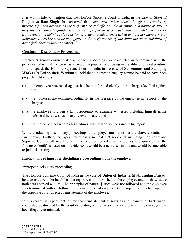It is worthwhile to mention that the Hon'ble Supreme Court of India in the case of **State of Punjab vs Ram Singh**<sup>1</sup> has observed that "*the word "misconduct" though not capable of precise definition depends on the performance and effect on the discipline and nature of duty. It may involve moral turpitude. It must be improper or wrong behavior, unlawful behavior or transgression of definite rule of action or code of conduct, established and but nor mere error of judgements, carelessness or negligence in the performance of the duty; the act complained of bears forbidden quality of character*".

# **Conduct of Disciplinary Proceedings**

Employers should ensure that disciplinary proceedings are conducted in accordance with the principles of natural justice so as to avoid the possibility of being vulnerable to judicial scrutiny. In this regard, the Hon'ble Supreme Court of India in the case of **Sur enamel and Stamping Works (P) Ltd vs their Workmen**<sup>2</sup> held that a domestic enquiry cannot be said to have been properly held unless:

- (i) the employee proceeded against has been informed clearly of the charges levelled against him;
- (ii) the witnesses are examined ordinarily in the presence of the employee in respect of the charges;
- (iii) the employee is given a fair opportunity to examine witnesses including himself in his defense if he so wishes on any relevant matter; and
- (iv) the enquiry officer records his findings with reason for the same in his report.

While conducting disciplinary proceedings an employer must consider the above essentials of fair enquiry. Further, the Apex Court has also held that no courts including high court and Supreme Court shall interfere with the findings recorded at the domestic enquiry but if the finding of 'guilt' is based on no evidence, it would be a perverse finding and would be amenable to judicial scrutiny.

### **Implications of improper disciplinary proceedings upon the employer**

### Improper disciplinary proceeding

The Hon'ble Supreme Court of India in the case of **Union of India vs Madhusudan Prasad**<sup>3</sup> held an enquiry to be invalid as the report was not furnished to the employee and no show cause notice was served on him. The principles of natural justice were not followed and the employee was terminated without following the due course of enquiry. Such enquiry when challenged in the appellate court directed reinstatement of the employee.

In this regard, it is pertinent to note that reinstatement of services and payment of back wages could also be directed by the court depending on the facts of the case wherein the employee has been illegally terminated.

 $\overline{\phantom{a}}$ <sup>1</sup> AIR1992SC2188

<sup>2</sup> AIR 1963SC1914

<sup>3</sup> Civil appeal no. 5909 of 2002